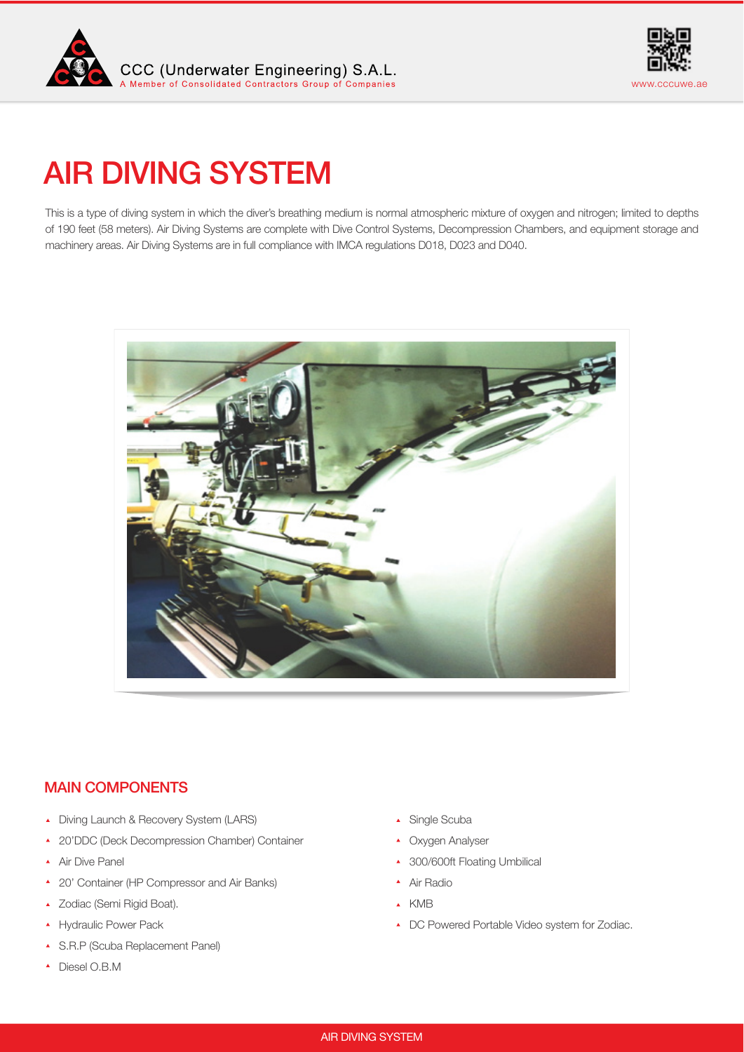



# AIR DIVING SYSTEM

This is a type of diving system in which the diver's breathing medium is normal atmospheric mixture of oxygen and nitrogen; limited to depths of 190 feet (58 meters). Air Diving Systems are complete with Dive Control Systems, Decompression Chambers, and equipment storage and machinery areas. Air Diving Systems are in full compliance with IMCA regulations D018, D023 and D040.



## MAIN COMPONENTS

- Diving Launch & Recovery System (LARS)
- 20'DDC (Deck Decompression Chamber) Container
- Air Dive Panel
- 20' Container (HP Compressor and Air Banks)
- ▲ Zodiac (Semi Rigid Boat).
- **A** Hydraulic Power Pack
- S.R.P (Scuba Replacement Panel)
- Diesel O.B.M
- Single Scuba
- Oxygen Analyser
- ▲ 300/600ft Floating Umbilical
- ▲ Air Radio
- KMB
- ▲ DC Powered Portable Video system for Zodiac.